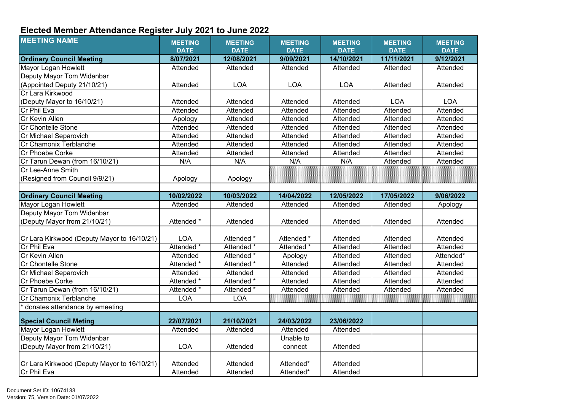## **Elected Member Attendance Register July 2021 to June 2022**

| <b>Ordinary Council Meeting</b><br>8/07/2021<br>12/08/2021<br>9/09/2021<br>14/10/2021<br>11/11/2021<br>9/12/2021<br>Mayor Logan Howlett<br>Attended<br>Attended<br>Attended<br>Attended<br>Attended<br>Attended<br>Deputy Mayor Tom Widenbar<br>(Appointed Deputy 21/10/21)<br><b>LOA</b><br><b>LOA</b><br><b>LOA</b><br>Attended<br>Attended<br>Attended<br>Cr Lara Kirkwood<br>(Deputy Mayor to 16/10/21)<br><b>LOA</b><br><b>LOA</b><br>Attended<br>Attended<br>Attended<br>Attended<br>Cr Phil Eva<br>Attended<br>Attended<br>Attended<br>Attended<br>Attended<br>Attended<br>Cr Kevin Allen<br>Attended<br>Attended<br>Attended<br>Attended<br>Attended<br>Apology<br><b>Cr Chontelle Stone</b><br>Attended<br>Attended<br>Attended<br>Attended<br>Attended<br>Attended<br>Cr Michael Separovich<br>Attended<br>Attended<br>Attended<br>Attended<br>Attended<br>Attended<br>Cr Chamonix Terblanche<br>Attended<br>Attended<br>Attended<br>Attended<br>Attended<br>Attended<br>Cr Phoebe Corke<br>Attended<br>Attended<br>Attended<br>Attended<br>Attended<br>Attended<br>Cr Tarun Dewan (from 16/10/21)<br>N/A<br>N/A<br>N/A<br>N/A<br>Attended<br>Attended<br>Cr Lee-Anne Smith<br>(Resigned from Council 9/9/21)<br>Apology<br>Apology<br><b>Ordinary Council Meeting</b><br>10/02/2022<br>10/03/2022<br>12/05/2022<br>17/05/2022<br>9/06/2022<br>14/04/2022<br>Mayor Logan Howlett<br>Attended<br>Attended<br>Attended<br>Attended<br>Attended<br>Apology<br>Deputy Mayor Tom Widenbar<br>(Deputy Mayor from 21/10/21)<br>Attended *<br>Attended<br>Attended<br>Attended<br>Attended<br>Attended<br>Cr Lara Kirkwood (Deputy Mayor to 16/10/21)<br><b>LOA</b><br>Attended *<br>Attended<br>Attended *<br>Attended<br>Attended<br>Cr Phil Eva<br>Attended *<br>Attended *<br>Attended *<br>Attended<br>Attended<br>Attended<br>Cr Kevin Allen<br>Attended<br>Attended *<br>Attended<br>Attended<br>Attended*<br>Apology<br>Attended <sup>*</sup><br><b>Cr Chontelle Stone</b><br>Attended *<br>Attended<br>Attended<br>Attended<br>Attended<br>Cr Michael Separovich<br>Attended<br>Attended<br>Attended<br>Attended<br>Attended<br>Attended<br>Attended *<br>Cr Phoebe Corke<br>Attended *<br>Attended<br>Attended<br>Attended<br>Attended<br>Cr Tarun Dewan (from 16/10/21)<br>Attended *<br>Attended *<br>Attended<br>Attended<br>Attended<br>Attended<br><b>LOA</b><br><b>LOA</b><br>Cr Chamonix Terblanche<br>donates attendance by emeeting<br>22/07/2021<br>21/10/2021<br>24/03/2022<br>23/06/2022<br><b>Special Council Meting</b><br>Mayor Logan Howlett<br>Attended<br>Attended<br>Attended<br>Attended<br>Deputy Mayor Tom Widenbar<br>Unable to<br>(Deputy Mayor from 21/10/21)<br><b>LOA</b><br>Attended<br>Attended<br>connect<br>Cr Lara Kirkwood (Deputy Mayor to 16/10/21)<br>Attended<br>Attended<br>Attended*<br>Attended<br>Cr Phil Eva<br>Attended*<br>Attended<br>Attended<br>Attended | <b>MEETING NAME</b> | <b>MEETING</b><br><b>DATE</b> | <b>MEETING</b><br><b>DATE</b> | <b>MEETING</b><br><b>DATE</b> | <b>MEETING</b><br><b>DATE</b> | <b>MEETING</b><br><b>DATE</b> | <b>MEETING</b><br><b>DATE</b> |
|---------------------------------------------------------------------------------------------------------------------------------------------------------------------------------------------------------------------------------------------------------------------------------------------------------------------------------------------------------------------------------------------------------------------------------------------------------------------------------------------------------------------------------------------------------------------------------------------------------------------------------------------------------------------------------------------------------------------------------------------------------------------------------------------------------------------------------------------------------------------------------------------------------------------------------------------------------------------------------------------------------------------------------------------------------------------------------------------------------------------------------------------------------------------------------------------------------------------------------------------------------------------------------------------------------------------------------------------------------------------------------------------------------------------------------------------------------------------------------------------------------------------------------------------------------------------------------------------------------------------------------------------------------------------------------------------------------------------------------------------------------------------------------------------------------------------------------------------------------------------------------------------------------------------------------------------------------------------------------------------------------------------------------------------------------------------------------------------------------------------------------------------------------------------------------------------------------------------------------------------------------------------------------------------------------------------------------------------------------------------------------------------------------------------------------------------------------------------------------------------------------------------------------------------------------------------------------------------------------------------------------------------------------------------------------------------------------------------------------------------------------------------------------------------------------------------------------------------------------------------------------------------------------------------|---------------------|-------------------------------|-------------------------------|-------------------------------|-------------------------------|-------------------------------|-------------------------------|
|                                                                                                                                                                                                                                                                                                                                                                                                                                                                                                                                                                                                                                                                                                                                                                                                                                                                                                                                                                                                                                                                                                                                                                                                                                                                                                                                                                                                                                                                                                                                                                                                                                                                                                                                                                                                                                                                                                                                                                                                                                                                                                                                                                                                                                                                                                                                                                                                                                                                                                                                                                                                                                                                                                                                                                                                                                                                                                                     |                     |                               |                               |                               |                               |                               |                               |
|                                                                                                                                                                                                                                                                                                                                                                                                                                                                                                                                                                                                                                                                                                                                                                                                                                                                                                                                                                                                                                                                                                                                                                                                                                                                                                                                                                                                                                                                                                                                                                                                                                                                                                                                                                                                                                                                                                                                                                                                                                                                                                                                                                                                                                                                                                                                                                                                                                                                                                                                                                                                                                                                                                                                                                                                                                                                                                                     |                     |                               |                               |                               |                               |                               |                               |
|                                                                                                                                                                                                                                                                                                                                                                                                                                                                                                                                                                                                                                                                                                                                                                                                                                                                                                                                                                                                                                                                                                                                                                                                                                                                                                                                                                                                                                                                                                                                                                                                                                                                                                                                                                                                                                                                                                                                                                                                                                                                                                                                                                                                                                                                                                                                                                                                                                                                                                                                                                                                                                                                                                                                                                                                                                                                                                                     |                     |                               |                               |                               |                               |                               |                               |
|                                                                                                                                                                                                                                                                                                                                                                                                                                                                                                                                                                                                                                                                                                                                                                                                                                                                                                                                                                                                                                                                                                                                                                                                                                                                                                                                                                                                                                                                                                                                                                                                                                                                                                                                                                                                                                                                                                                                                                                                                                                                                                                                                                                                                                                                                                                                                                                                                                                                                                                                                                                                                                                                                                                                                                                                                                                                                                                     |                     |                               |                               |                               |                               |                               |                               |
|                                                                                                                                                                                                                                                                                                                                                                                                                                                                                                                                                                                                                                                                                                                                                                                                                                                                                                                                                                                                                                                                                                                                                                                                                                                                                                                                                                                                                                                                                                                                                                                                                                                                                                                                                                                                                                                                                                                                                                                                                                                                                                                                                                                                                                                                                                                                                                                                                                                                                                                                                                                                                                                                                                                                                                                                                                                                                                                     |                     |                               |                               |                               |                               |                               |                               |
|                                                                                                                                                                                                                                                                                                                                                                                                                                                                                                                                                                                                                                                                                                                                                                                                                                                                                                                                                                                                                                                                                                                                                                                                                                                                                                                                                                                                                                                                                                                                                                                                                                                                                                                                                                                                                                                                                                                                                                                                                                                                                                                                                                                                                                                                                                                                                                                                                                                                                                                                                                                                                                                                                                                                                                                                                                                                                                                     |                     |                               |                               |                               |                               |                               |                               |
|                                                                                                                                                                                                                                                                                                                                                                                                                                                                                                                                                                                                                                                                                                                                                                                                                                                                                                                                                                                                                                                                                                                                                                                                                                                                                                                                                                                                                                                                                                                                                                                                                                                                                                                                                                                                                                                                                                                                                                                                                                                                                                                                                                                                                                                                                                                                                                                                                                                                                                                                                                                                                                                                                                                                                                                                                                                                                                                     |                     |                               |                               |                               |                               |                               |                               |
|                                                                                                                                                                                                                                                                                                                                                                                                                                                                                                                                                                                                                                                                                                                                                                                                                                                                                                                                                                                                                                                                                                                                                                                                                                                                                                                                                                                                                                                                                                                                                                                                                                                                                                                                                                                                                                                                                                                                                                                                                                                                                                                                                                                                                                                                                                                                                                                                                                                                                                                                                                                                                                                                                                                                                                                                                                                                                                                     |                     |                               |                               |                               |                               |                               |                               |
|                                                                                                                                                                                                                                                                                                                                                                                                                                                                                                                                                                                                                                                                                                                                                                                                                                                                                                                                                                                                                                                                                                                                                                                                                                                                                                                                                                                                                                                                                                                                                                                                                                                                                                                                                                                                                                                                                                                                                                                                                                                                                                                                                                                                                                                                                                                                                                                                                                                                                                                                                                                                                                                                                                                                                                                                                                                                                                                     |                     |                               |                               |                               |                               |                               |                               |
|                                                                                                                                                                                                                                                                                                                                                                                                                                                                                                                                                                                                                                                                                                                                                                                                                                                                                                                                                                                                                                                                                                                                                                                                                                                                                                                                                                                                                                                                                                                                                                                                                                                                                                                                                                                                                                                                                                                                                                                                                                                                                                                                                                                                                                                                                                                                                                                                                                                                                                                                                                                                                                                                                                                                                                                                                                                                                                                     |                     |                               |                               |                               |                               |                               |                               |
|                                                                                                                                                                                                                                                                                                                                                                                                                                                                                                                                                                                                                                                                                                                                                                                                                                                                                                                                                                                                                                                                                                                                                                                                                                                                                                                                                                                                                                                                                                                                                                                                                                                                                                                                                                                                                                                                                                                                                                                                                                                                                                                                                                                                                                                                                                                                                                                                                                                                                                                                                                                                                                                                                                                                                                                                                                                                                                                     |                     |                               |                               |                               |                               |                               |                               |
|                                                                                                                                                                                                                                                                                                                                                                                                                                                                                                                                                                                                                                                                                                                                                                                                                                                                                                                                                                                                                                                                                                                                                                                                                                                                                                                                                                                                                                                                                                                                                                                                                                                                                                                                                                                                                                                                                                                                                                                                                                                                                                                                                                                                                                                                                                                                                                                                                                                                                                                                                                                                                                                                                                                                                                                                                                                                                                                     |                     |                               |                               |                               |                               |                               |                               |
|                                                                                                                                                                                                                                                                                                                                                                                                                                                                                                                                                                                                                                                                                                                                                                                                                                                                                                                                                                                                                                                                                                                                                                                                                                                                                                                                                                                                                                                                                                                                                                                                                                                                                                                                                                                                                                                                                                                                                                                                                                                                                                                                                                                                                                                                                                                                                                                                                                                                                                                                                                                                                                                                                                                                                                                                                                                                                                                     |                     |                               |                               |                               |                               |                               |                               |
|                                                                                                                                                                                                                                                                                                                                                                                                                                                                                                                                                                                                                                                                                                                                                                                                                                                                                                                                                                                                                                                                                                                                                                                                                                                                                                                                                                                                                                                                                                                                                                                                                                                                                                                                                                                                                                                                                                                                                                                                                                                                                                                                                                                                                                                                                                                                                                                                                                                                                                                                                                                                                                                                                                                                                                                                                                                                                                                     |                     |                               |                               |                               |                               |                               |                               |
|                                                                                                                                                                                                                                                                                                                                                                                                                                                                                                                                                                                                                                                                                                                                                                                                                                                                                                                                                                                                                                                                                                                                                                                                                                                                                                                                                                                                                                                                                                                                                                                                                                                                                                                                                                                                                                                                                                                                                                                                                                                                                                                                                                                                                                                                                                                                                                                                                                                                                                                                                                                                                                                                                                                                                                                                                                                                                                                     |                     |                               |                               |                               |                               |                               |                               |
|                                                                                                                                                                                                                                                                                                                                                                                                                                                                                                                                                                                                                                                                                                                                                                                                                                                                                                                                                                                                                                                                                                                                                                                                                                                                                                                                                                                                                                                                                                                                                                                                                                                                                                                                                                                                                                                                                                                                                                                                                                                                                                                                                                                                                                                                                                                                                                                                                                                                                                                                                                                                                                                                                                                                                                                                                                                                                                                     |                     |                               |                               |                               |                               |                               |                               |
|                                                                                                                                                                                                                                                                                                                                                                                                                                                                                                                                                                                                                                                                                                                                                                                                                                                                                                                                                                                                                                                                                                                                                                                                                                                                                                                                                                                                                                                                                                                                                                                                                                                                                                                                                                                                                                                                                                                                                                                                                                                                                                                                                                                                                                                                                                                                                                                                                                                                                                                                                                                                                                                                                                                                                                                                                                                                                                                     |                     |                               |                               |                               |                               |                               |                               |
|                                                                                                                                                                                                                                                                                                                                                                                                                                                                                                                                                                                                                                                                                                                                                                                                                                                                                                                                                                                                                                                                                                                                                                                                                                                                                                                                                                                                                                                                                                                                                                                                                                                                                                                                                                                                                                                                                                                                                                                                                                                                                                                                                                                                                                                                                                                                                                                                                                                                                                                                                                                                                                                                                                                                                                                                                                                                                                                     |                     |                               |                               |                               |                               |                               |                               |
|                                                                                                                                                                                                                                                                                                                                                                                                                                                                                                                                                                                                                                                                                                                                                                                                                                                                                                                                                                                                                                                                                                                                                                                                                                                                                                                                                                                                                                                                                                                                                                                                                                                                                                                                                                                                                                                                                                                                                                                                                                                                                                                                                                                                                                                                                                                                                                                                                                                                                                                                                                                                                                                                                                                                                                                                                                                                                                                     |                     |                               |                               |                               |                               |                               |                               |
|                                                                                                                                                                                                                                                                                                                                                                                                                                                                                                                                                                                                                                                                                                                                                                                                                                                                                                                                                                                                                                                                                                                                                                                                                                                                                                                                                                                                                                                                                                                                                                                                                                                                                                                                                                                                                                                                                                                                                                                                                                                                                                                                                                                                                                                                                                                                                                                                                                                                                                                                                                                                                                                                                                                                                                                                                                                                                                                     |                     |                               |                               |                               |                               |                               |                               |
|                                                                                                                                                                                                                                                                                                                                                                                                                                                                                                                                                                                                                                                                                                                                                                                                                                                                                                                                                                                                                                                                                                                                                                                                                                                                                                                                                                                                                                                                                                                                                                                                                                                                                                                                                                                                                                                                                                                                                                                                                                                                                                                                                                                                                                                                                                                                                                                                                                                                                                                                                                                                                                                                                                                                                                                                                                                                                                                     |                     |                               |                               |                               |                               |                               |                               |
|                                                                                                                                                                                                                                                                                                                                                                                                                                                                                                                                                                                                                                                                                                                                                                                                                                                                                                                                                                                                                                                                                                                                                                                                                                                                                                                                                                                                                                                                                                                                                                                                                                                                                                                                                                                                                                                                                                                                                                                                                                                                                                                                                                                                                                                                                                                                                                                                                                                                                                                                                                                                                                                                                                                                                                                                                                                                                                                     |                     |                               |                               |                               |                               |                               |                               |
|                                                                                                                                                                                                                                                                                                                                                                                                                                                                                                                                                                                                                                                                                                                                                                                                                                                                                                                                                                                                                                                                                                                                                                                                                                                                                                                                                                                                                                                                                                                                                                                                                                                                                                                                                                                                                                                                                                                                                                                                                                                                                                                                                                                                                                                                                                                                                                                                                                                                                                                                                                                                                                                                                                                                                                                                                                                                                                                     |                     |                               |                               |                               |                               |                               |                               |
|                                                                                                                                                                                                                                                                                                                                                                                                                                                                                                                                                                                                                                                                                                                                                                                                                                                                                                                                                                                                                                                                                                                                                                                                                                                                                                                                                                                                                                                                                                                                                                                                                                                                                                                                                                                                                                                                                                                                                                                                                                                                                                                                                                                                                                                                                                                                                                                                                                                                                                                                                                                                                                                                                                                                                                                                                                                                                                                     |                     |                               |                               |                               |                               |                               |                               |
|                                                                                                                                                                                                                                                                                                                                                                                                                                                                                                                                                                                                                                                                                                                                                                                                                                                                                                                                                                                                                                                                                                                                                                                                                                                                                                                                                                                                                                                                                                                                                                                                                                                                                                                                                                                                                                                                                                                                                                                                                                                                                                                                                                                                                                                                                                                                                                                                                                                                                                                                                                                                                                                                                                                                                                                                                                                                                                                     |                     |                               |                               |                               |                               |                               |                               |
|                                                                                                                                                                                                                                                                                                                                                                                                                                                                                                                                                                                                                                                                                                                                                                                                                                                                                                                                                                                                                                                                                                                                                                                                                                                                                                                                                                                                                                                                                                                                                                                                                                                                                                                                                                                                                                                                                                                                                                                                                                                                                                                                                                                                                                                                                                                                                                                                                                                                                                                                                                                                                                                                                                                                                                                                                                                                                                                     |                     |                               |                               |                               |                               |                               |                               |
|                                                                                                                                                                                                                                                                                                                                                                                                                                                                                                                                                                                                                                                                                                                                                                                                                                                                                                                                                                                                                                                                                                                                                                                                                                                                                                                                                                                                                                                                                                                                                                                                                                                                                                                                                                                                                                                                                                                                                                                                                                                                                                                                                                                                                                                                                                                                                                                                                                                                                                                                                                                                                                                                                                                                                                                                                                                                                                                     |                     |                               |                               |                               |                               |                               |                               |
|                                                                                                                                                                                                                                                                                                                                                                                                                                                                                                                                                                                                                                                                                                                                                                                                                                                                                                                                                                                                                                                                                                                                                                                                                                                                                                                                                                                                                                                                                                                                                                                                                                                                                                                                                                                                                                                                                                                                                                                                                                                                                                                                                                                                                                                                                                                                                                                                                                                                                                                                                                                                                                                                                                                                                                                                                                                                                                                     |                     |                               |                               |                               |                               |                               |                               |
|                                                                                                                                                                                                                                                                                                                                                                                                                                                                                                                                                                                                                                                                                                                                                                                                                                                                                                                                                                                                                                                                                                                                                                                                                                                                                                                                                                                                                                                                                                                                                                                                                                                                                                                                                                                                                                                                                                                                                                                                                                                                                                                                                                                                                                                                                                                                                                                                                                                                                                                                                                                                                                                                                                                                                                                                                                                                                                                     |                     |                               |                               |                               |                               |                               |                               |
|                                                                                                                                                                                                                                                                                                                                                                                                                                                                                                                                                                                                                                                                                                                                                                                                                                                                                                                                                                                                                                                                                                                                                                                                                                                                                                                                                                                                                                                                                                                                                                                                                                                                                                                                                                                                                                                                                                                                                                                                                                                                                                                                                                                                                                                                                                                                                                                                                                                                                                                                                                                                                                                                                                                                                                                                                                                                                                                     |                     |                               |                               |                               |                               |                               |                               |
|                                                                                                                                                                                                                                                                                                                                                                                                                                                                                                                                                                                                                                                                                                                                                                                                                                                                                                                                                                                                                                                                                                                                                                                                                                                                                                                                                                                                                                                                                                                                                                                                                                                                                                                                                                                                                                                                                                                                                                                                                                                                                                                                                                                                                                                                                                                                                                                                                                                                                                                                                                                                                                                                                                                                                                                                                                                                                                                     |                     |                               |                               |                               |                               |                               |                               |
|                                                                                                                                                                                                                                                                                                                                                                                                                                                                                                                                                                                                                                                                                                                                                                                                                                                                                                                                                                                                                                                                                                                                                                                                                                                                                                                                                                                                                                                                                                                                                                                                                                                                                                                                                                                                                                                                                                                                                                                                                                                                                                                                                                                                                                                                                                                                                                                                                                                                                                                                                                                                                                                                                                                                                                                                                                                                                                                     |                     |                               |                               |                               |                               |                               |                               |
|                                                                                                                                                                                                                                                                                                                                                                                                                                                                                                                                                                                                                                                                                                                                                                                                                                                                                                                                                                                                                                                                                                                                                                                                                                                                                                                                                                                                                                                                                                                                                                                                                                                                                                                                                                                                                                                                                                                                                                                                                                                                                                                                                                                                                                                                                                                                                                                                                                                                                                                                                                                                                                                                                                                                                                                                                                                                                                                     |                     |                               |                               |                               |                               |                               |                               |
|                                                                                                                                                                                                                                                                                                                                                                                                                                                                                                                                                                                                                                                                                                                                                                                                                                                                                                                                                                                                                                                                                                                                                                                                                                                                                                                                                                                                                                                                                                                                                                                                                                                                                                                                                                                                                                                                                                                                                                                                                                                                                                                                                                                                                                                                                                                                                                                                                                                                                                                                                                                                                                                                                                                                                                                                                                                                                                                     |                     |                               |                               |                               |                               |                               |                               |
|                                                                                                                                                                                                                                                                                                                                                                                                                                                                                                                                                                                                                                                                                                                                                                                                                                                                                                                                                                                                                                                                                                                                                                                                                                                                                                                                                                                                                                                                                                                                                                                                                                                                                                                                                                                                                                                                                                                                                                                                                                                                                                                                                                                                                                                                                                                                                                                                                                                                                                                                                                                                                                                                                                                                                                                                                                                                                                                     |                     |                               |                               |                               |                               |                               |                               |
|                                                                                                                                                                                                                                                                                                                                                                                                                                                                                                                                                                                                                                                                                                                                                                                                                                                                                                                                                                                                                                                                                                                                                                                                                                                                                                                                                                                                                                                                                                                                                                                                                                                                                                                                                                                                                                                                                                                                                                                                                                                                                                                                                                                                                                                                                                                                                                                                                                                                                                                                                                                                                                                                                                                                                                                                                                                                                                                     |                     |                               |                               |                               |                               |                               |                               |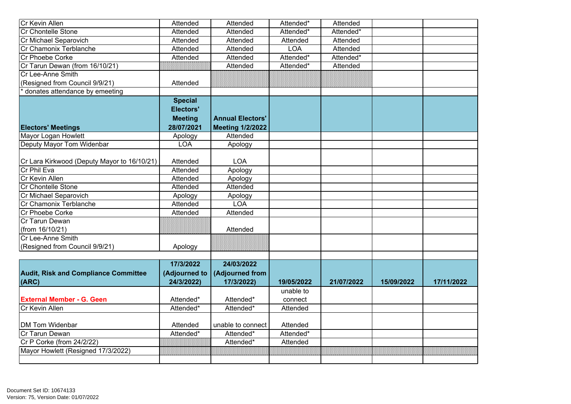| Cr Kevin Allen                              | Attended         | Attended                | Attended*             | Attended              |            |            |
|---------------------------------------------|------------------|-------------------------|-----------------------|-----------------------|------------|------------|
| Cr Chontelle Stone                          | Attended         | Attended                | Attended*             | Attended*             |            |            |
| Cr Michael Separovich                       | Attended         | Attended                | Attended              | Attended              |            |            |
| Cr Chamonix Terblanche                      | Attended         | Attended                | <b>LOA</b>            | Attended              |            |            |
| Cr Phoebe Corke                             | Attended         | Attended                | Attended*             | Attended <sup>*</sup> |            |            |
| Cr Tarun Dewan (from 16/10/21)              |                  | Attended                | Attended*             | Attended              |            |            |
| Cr Lee-Anne Smith                           |                  |                         |                       |                       |            |            |
| (Resigned from Council 9/9/21)              | Attended         |                         |                       |                       |            |            |
| donates attendance by emeeting              |                  |                         |                       |                       |            |            |
|                                             | <b>Special</b>   |                         |                       |                       |            |            |
|                                             | <b>Electors'</b> |                         |                       |                       |            |            |
|                                             | <b>Meeting</b>   | <b>Annual Electors'</b> |                       |                       |            |            |
| <b>Electors' Meetings</b>                   | 28/07/2021       | <b>Meeting 1/2/2022</b> |                       |                       |            |            |
| Mayor Logan Howlett                         | Apology          | Attended                |                       |                       |            |            |
| Deputy Mayor Tom Widenbar                   | <b>LOA</b>       | Apology                 |                       |                       |            |            |
|                                             |                  |                         |                       |                       |            |            |
| Cr Lara Kirkwood (Deputy Mayor to 16/10/21) | Attended         | <b>LOA</b>              |                       |                       |            |            |
| Cr Phil Eva                                 | Attended         | Apology                 |                       |                       |            |            |
| Cr Kevin Allen                              | Attended         | Apology                 |                       |                       |            |            |
| <b>Cr Chontelle Stone</b>                   | <b>Attended</b>  | Attended                |                       |                       |            |            |
| Cr Michael Separovich                       | Apology          | Apology                 |                       |                       |            |            |
| Cr Chamonix Terblanche                      | Attended         | LOA                     |                       |                       |            |            |
| Cr Phoebe Corke                             | Attended         | Attended                |                       |                       |            |            |
| Cr Tarun Dewan                              |                  |                         |                       |                       |            |            |
| (from 16/10/21)                             |                  | Attended                |                       |                       |            |            |
| Cr Lee-Anne Smith                           |                  |                         |                       |                       |            |            |
| (Resigned from Council 9/9/21)              | Apology          |                         |                       |                       |            |            |
|                                             |                  |                         |                       |                       |            |            |
|                                             | 17/3/2022        | 24/03/2022              |                       |                       |            |            |
| <b>Audit, Risk and Compliance Committee</b> | (Adjourned to    | (Adjourned from         |                       |                       |            |            |
| (ARC)                                       | 24/3/2022)       | 17/3/2022)              | 19/05/2022            | 21/07/2022            | 15/09/2022 | 17/11/2022 |
|                                             |                  |                         | unable to             |                       |            |            |
| <b>External Member - G. Geen</b>            | Attended*        | Attended*               | connect               |                       |            |            |
| Cr Kevin Allen                              | Attended*        | Attended*               | Attended              |                       |            |            |
|                                             |                  |                         |                       |                       |            |            |
| DM Tom Widenbar                             | Attended         | unable to connect       | Attended              |                       |            |            |
| Cr Tarun Dewan                              | Attended*        | Attended*               | Attended <sup>*</sup> |                       |            |            |
| Cr P Corke (from 24/2/22)                   |                  | Attended*               | Attended              |                       |            |            |
| Mayor Howlett (Resigned 17/3/2022)          |                  |                         | 888888888888888888    |                       |            |            |
|                                             |                  |                         |                       |                       |            |            |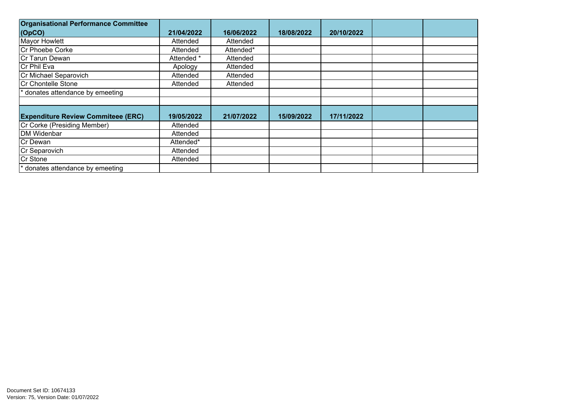| <b>Organisational Performance Committee</b> |            |            |            |            |  |
|---------------------------------------------|------------|------------|------------|------------|--|
| $\vert$ (OpCO)                              | 21/04/2022 | 16/06/2022 | 18/08/2022 | 20/10/2022 |  |
| Mayor Howlett                               | Attended   | Attended   |            |            |  |
| Cr Phoebe Corke                             | Attended   | Attended*  |            |            |  |
| Cr Tarun Dewan                              | Attended * | Attended   |            |            |  |
| Cr Phil Eva                                 | Apology    | Attended   |            |            |  |
| Cr Michael Separovich                       | Attended   | Attended   |            |            |  |
| Cr Chontelle Stone                          | Attended   | Attended   |            |            |  |
| donates attendance by emeeting              |            |            |            |            |  |
|                                             |            |            |            |            |  |
| <b>Expenditure Review Commiteee (ERC)</b>   | 19/05/2022 | 21/07/2022 | 15/09/2022 | 17/11/2022 |  |
| Cr Corke (Presiding Member)                 |            |            |            |            |  |
|                                             | Attended   |            |            |            |  |
| DM Widenbar                                 | Attended   |            |            |            |  |
| Cr Dewan                                    | Attended*  |            |            |            |  |
| Cr Separovich                               | Attended   |            |            |            |  |
| Cr Stone                                    | Attended   |            |            |            |  |
| * donates attendance by emeeting            |            |            |            |            |  |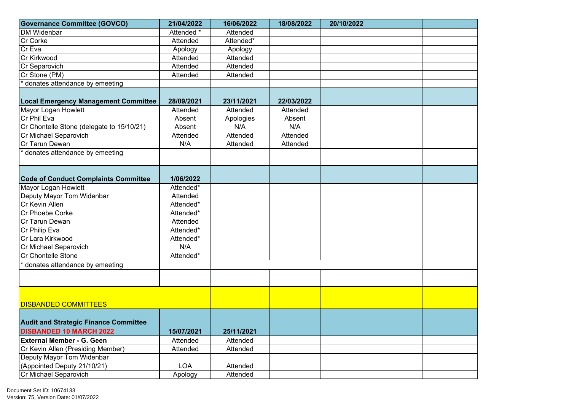| <b>Governance Committee (GOVCO)</b>                                | 21/04/2022 | 16/06/2022             | 18/08/2022 | 20/10/2022 |  |
|--------------------------------------------------------------------|------------|------------------------|------------|------------|--|
| <b>DM Widenbar</b>                                                 | Attended * | Attended               |            |            |  |
| Cr Corke                                                           | Attended   | Attended*              |            |            |  |
| Cr Eva                                                             | Apology    | Apology                |            |            |  |
| Cr Kirkwood                                                        | Attended   | Attended               |            |            |  |
| Cr Separovich                                                      | Attended   | Attended               |            |            |  |
| Cr Stone (PM)                                                      | Attended   | Attended               |            |            |  |
| * donates attendance by emeeting                                   |            |                        |            |            |  |
|                                                                    |            |                        |            |            |  |
| <b>Local Emergency Management Committee</b>                        | 28/09/2021 | 23/11/2021             | 22/03/2022 |            |  |
| Mayor Logan Howlett                                                | Attended   | Attended               | Attended   |            |  |
| Cr Phil Eva                                                        | Absent     | Apologies              | Absent     |            |  |
| Cr Chontelle Stone (delegate to 15/10/21)                          | Absent     | N/A                    | N/A        |            |  |
| Cr Michael Separovich                                              | Attended   | Attended               | Attended   |            |  |
| Cr Tarun Dewan                                                     | N/A        | Attended               | Attended   |            |  |
| donates attendance by emeeting                                     |            |                        |            |            |  |
|                                                                    |            |                        |            |            |  |
|                                                                    |            |                        |            |            |  |
| <b>Code of Conduct Complaints Committee</b>                        | 1/06/2022  |                        |            |            |  |
| Mayor Logan Howlett                                                | Attended*  |                        |            |            |  |
| Deputy Mayor Tom Widenbar                                          | Attended   |                        |            |            |  |
| Cr Kevin Allen                                                     | Attended*  |                        |            |            |  |
| Cr Phoebe Corke                                                    | Attended*  |                        |            |            |  |
| Cr Tarun Dewan                                                     | Attended   |                        |            |            |  |
| Cr Philip Eva                                                      | Attended*  |                        |            |            |  |
| Cr Lara Kirkwood                                                   | Attended*  |                        |            |            |  |
| Cr Michael Separovich                                              | N/A        |                        |            |            |  |
| Cr Chontelle Stone                                                 | Attended*  |                        |            |            |  |
| * donates attendance by emeeting                                   |            |                        |            |            |  |
|                                                                    |            |                        |            |            |  |
|                                                                    |            |                        |            |            |  |
|                                                                    |            |                        |            |            |  |
| <b>DISBANDED COMMITTEES</b>                                        |            |                        |            |            |  |
|                                                                    |            |                        |            |            |  |
| <b>Audit and Strategic Finance Committee</b>                       |            |                        |            |            |  |
|                                                                    | 15/07/2021 |                        |            |            |  |
| <b>DISBANDED 10 MARCH 2022</b><br><b>External Member - G. Geen</b> |            | 25/11/2021<br>Attended |            |            |  |
|                                                                    | Attended   |                        |            |            |  |
| Cr Kevin Allen (Presiding Member)<br>Deputy Mayor Tom Widenbar     | Attended   | Attended               |            |            |  |
|                                                                    |            |                        |            |            |  |
| (Appointed Deputy 21/10/21)                                        | <b>LOA</b> | Attended               |            |            |  |
| Cr Michael Separovich                                              | Apology    | Attended               |            |            |  |

Document Set ID: 10674133<br>Version: 75, Version Date: 01/07/2022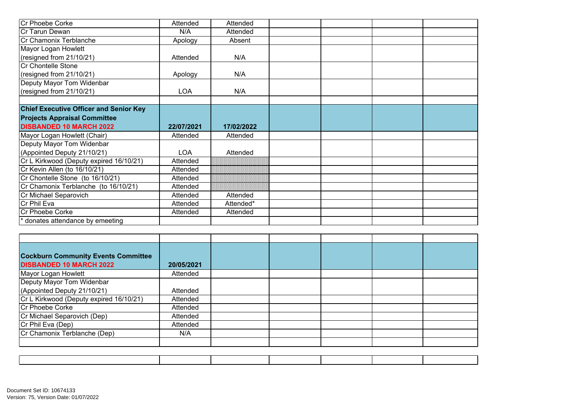| Cr Phoebe Corke                               | Attended   | Attended   |  |  |
|-----------------------------------------------|------------|------------|--|--|
| Cr Tarun Dewan                                | N/A        | Attended   |  |  |
| Cr Chamonix Terblanche                        | Apology    | Absent     |  |  |
| Mayor Logan Howlett                           |            |            |  |  |
| (resigned from 21/10/21)                      | Attended   | N/A        |  |  |
| Cr Chontelle Stone                            |            |            |  |  |
| (resigned from 21/10/21)                      | Apology    | N/A        |  |  |
| Deputy Mayor Tom Widenbar                     |            |            |  |  |
| (resigned from 21/10/21)                      | <b>LOA</b> | N/A        |  |  |
|                                               |            |            |  |  |
| <b>Chief Executive Officer and Senior Key</b> |            |            |  |  |
| <b>Projects Appraisal Committee</b>           |            |            |  |  |
|                                               |            |            |  |  |
| <b>DISBANDED 10 MARCH 2022</b>                | 22/07/2021 | 17/02/2022 |  |  |
| Mayor Logan Howlett (Chair)                   | Attended   | Attended   |  |  |
| Deputy Mayor Tom Widenbar                     |            |            |  |  |
| (Appointed Deputy 21/10/21)                   | <b>LOA</b> | Attended   |  |  |
| Cr L Kirkwood (Deputy expired 16/10/21)       | Attended   |            |  |  |
| Cr Kevin Allen (to 16/10/21)                  | Attended   |            |  |  |
| Cr Chontelle Stone (to 16/10/21)              | Attended   |            |  |  |
| Cr Chamonix Terblanche (to 16/10/21)          | Attended   |            |  |  |
| Cr Michael Separovich                         | Attended   | Attended   |  |  |
| Cr Phil Eva                                   | Attended   | Attended*  |  |  |
| Cr Phoebe Corke                               | Attended   | Attended   |  |  |

| <b>Cockburn Community Events Committee</b><br><b>DISBANDED 10 MARCH 2022</b> | 20/05/2021 |  |  |  |
|------------------------------------------------------------------------------|------------|--|--|--|
| Mayor Logan Howlett                                                          | Attended   |  |  |  |
| Deputy Mayor Tom Widenbar                                                    |            |  |  |  |
| (Appointed Deputy 21/10/21)                                                  | Attended   |  |  |  |
| Cr L Kirkwood (Deputy expired 16/10/21)                                      | Attended   |  |  |  |
| Cr Phoebe Corke                                                              | Attended   |  |  |  |
| Cr Michael Separovich (Dep)                                                  | Attended   |  |  |  |
| Cr Phil Eva (Dep)                                                            | Attended   |  |  |  |
| Cr Chamonix Terblanche (Dep)                                                 | N/A        |  |  |  |
|                                                                              |            |  |  |  |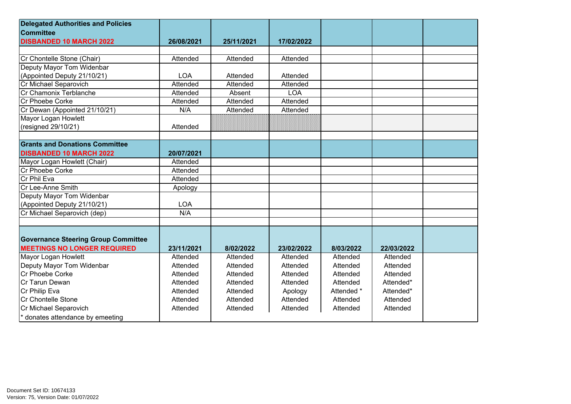| <b>Delegated Authorities and Policies</b>  |            |            |            |            |            |  |
|--------------------------------------------|------------|------------|------------|------------|------------|--|
| <b>Committee</b>                           |            |            |            |            |            |  |
| <b>DISBANDED 10 MARCH 2022</b>             | 26/08/2021 | 25/11/2021 | 17/02/2022 |            |            |  |
|                                            |            |            |            |            |            |  |
| Cr Chontelle Stone (Chair)                 | Attended   | Attended   | Attended   |            |            |  |
| Deputy Mayor Tom Widenbar                  |            |            |            |            |            |  |
| (Appointed Deputy 21/10/21)                | LOA        | Attended   | Attended   |            |            |  |
| Cr Michael Separovich                      | Attended   | Attended   | Attended   |            |            |  |
| Cr Chamonix Terblanche                     | Attended   | Absent     | <b>LOA</b> |            |            |  |
| Cr Phoebe Corke                            | Attended   | Attended   | Attended   |            |            |  |
| Cr Dewan (Appointed 21/10/21)              | N/A        | Attended   | Attended   |            |            |  |
| Mayor Logan Howlett                        |            |            |            |            |            |  |
| (resigned 29/10/21)                        | Attended   |            |            |            |            |  |
|                                            |            |            |            |            |            |  |
| <b>Grants and Donations Committee</b>      |            |            |            |            |            |  |
| <b>DISBANDED 10 MARCH 2022</b>             | 20/07/2021 |            |            |            |            |  |
| Mayor Logan Howlett (Chair)                | Attended   |            |            |            |            |  |
| Cr Phoebe Corke                            | Attended   |            |            |            |            |  |
| Cr Phil Eva                                | Attended   |            |            |            |            |  |
| Cr Lee-Anne Smith                          | Apology    |            |            |            |            |  |
| Deputy Mayor Tom Widenbar                  |            |            |            |            |            |  |
| (Appointed Deputy 21/10/21)                | <b>LOA</b> |            |            |            |            |  |
| Cr Michael Separovich (dep)                | N/A        |            |            |            |            |  |
|                                            |            |            |            |            |            |  |
|                                            |            |            |            |            |            |  |
| <b>Governance Steering Group Committee</b> |            |            |            |            |            |  |
| <b>MEETINGS NO LONGER REQUIRED</b>         | 23/11/2021 | 8/02/2022  | 23/02/2022 | 8/03/2022  | 22/03/2022 |  |
| Mayor Logan Howlett                        | Attended   | Attended   | Attended   | Attended   | Attended   |  |
| Deputy Mayor Tom Widenbar                  | Attended   | Attended   | Attended   | Attended   | Attended   |  |
| Cr Phoebe Corke                            | Attended   | Attended   | Attended   | Attended   | Attended   |  |
| Cr Tarun Dewan                             | Attended   | Attended   | Attended   | Attended   | Attended*  |  |
| Cr Philip Eva                              | Attended   | Attended   | Apology    | Attended * | Attended*  |  |
| Cr Chontelle Stone                         | Attended   | Attended   | Attended   | Attended   | Attended   |  |
| Cr Michael Separovich                      | Attended   | Attended   | Attended   | Attended   | Attended   |  |
| * donates attendance by emeeting           |            |            |            |            |            |  |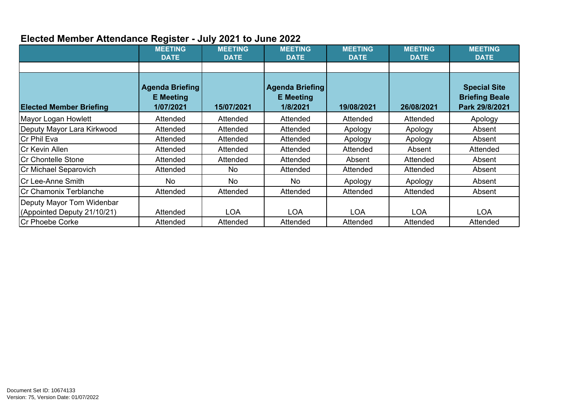## **Elected Member Attendance Register - July 2021 to June 2022**

|                                                                                    | <b>MEETING</b><br><b>DATE</b>                           | <b>MEETING</b><br><b>DATE</b> | <b>MEETING</b><br><b>DATE</b>                   | <b>MEETING</b><br><b>DATE</b> | <b>MEETING</b><br><b>DATE</b> | <b>MEETING</b><br><b>DATE</b>                                  |
|------------------------------------------------------------------------------------|---------------------------------------------------------|-------------------------------|-------------------------------------------------|-------------------------------|-------------------------------|----------------------------------------------------------------|
| <b>Elected Member Briefing</b>                                                     | <b>Agenda Briefing</b><br><b>E</b> Meeting<br>1/07/2021 | 15/07/2021                    | Agenda Briefing<br><b>E</b> Meeting<br>1/8/2021 | 19/08/2021                    | 26/08/2021                    | <b>Special Site</b><br><b>Briefing Beale</b><br>Park 29/8/2021 |
| Mayor Logan Howlett                                                                | Attended                                                | Attended                      | Attended                                        | Attended                      | Attended                      | Apology                                                        |
| Deputy Mayor Lara Kirkwood                                                         | Attended                                                | Attended                      | Attended                                        | Apology                       | Apology                       | Absent                                                         |
| <b>Cr Phil Eva</b>                                                                 | Attended                                                | Attended                      | Attended                                        | Apology                       | Apology                       | Absent                                                         |
| <b>Cr Kevin Allen</b>                                                              | Attended                                                | Attended                      | Attended                                        | Attended                      | Absent                        | Attended                                                       |
| <b>Cr Chontelle Stone</b>                                                          | Attended                                                | Attended                      | Attended                                        | Absent                        | Attended                      | Absent                                                         |
| Cr Michael Separovich                                                              | Attended                                                | No.                           | Attended                                        | Attended                      | Attended                      | Absent                                                         |
| lCr Lee-Anne Smith                                                                 | No                                                      | <b>No</b>                     | No                                              | Apology                       | Apology                       | Absent                                                         |
| Cr Chamonix Terblanche                                                             | Attended                                                | Attended                      | Attended                                        | Attended                      | Attended                      | Absent                                                         |
| Deputy Mayor Tom Widenbar<br>(Appointed Deputy 21/10/21)<br><b>Cr Phoebe Corke</b> | Attended<br>Attended                                    | <b>LOA</b><br>Attended        | <b>LOA</b><br>Attended                          | <b>LOA</b><br>Attended        | <b>LOA</b><br>Attended        | <b>LOA</b><br>Attended                                         |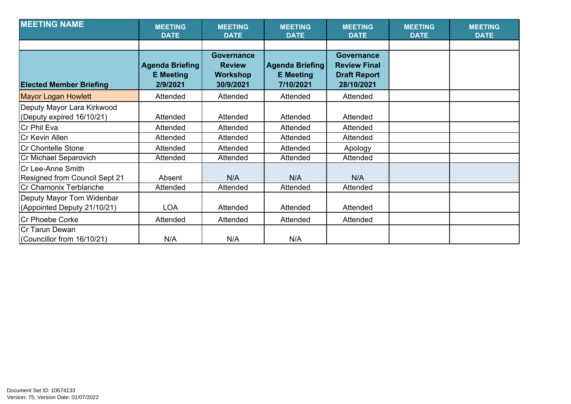| <b>MEETING NAME</b>                                      | <b>MEETING</b><br><b>DATE</b>                          | <b>MEETING</b><br><b>DATE</b>                                      | <b>MEETING</b><br><b>DATE</b>                           | <b>MEETING</b><br><b>DATE</b>                                                 | <b>MEETING</b><br><b>DATE</b> | <b>MEETING</b><br><b>DATE</b> |
|----------------------------------------------------------|--------------------------------------------------------|--------------------------------------------------------------------|---------------------------------------------------------|-------------------------------------------------------------------------------|-------------------------------|-------------------------------|
| <b>Elected Member Briefing</b>                           | <b>Agenda Briefing</b><br><b>E</b> Meeting<br>2/9/2021 | <b>Governance</b><br><b>Review</b><br><b>Workshop</b><br>30/9/2021 | <b>Agenda Briefing</b><br><b>E</b> Meeting<br>7/10/2021 | <b>Governance</b><br><b>Review Final</b><br><b>Draft Report</b><br>28/10/2021 |                               |                               |
| <b>Mayor Logan Howlett</b>                               | Attended                                               | Attended                                                           | Attended                                                | Attended                                                                      |                               |                               |
| Deputy Mayor Lara Kirkwood<br>(Deputy expired 16/10/21)  | Attended                                               | Attended                                                           | Attended                                                | Attended                                                                      |                               |                               |
| Cr Phil Eva                                              | Attended                                               | Attended                                                           | Attended                                                | Attended                                                                      |                               |                               |
| Cr Kevin Allen                                           | Attended                                               | Attended                                                           | Attended                                                | Attended                                                                      |                               |                               |
| <b>Cr Chontelle Stone</b>                                | Attended                                               | Attended                                                           | Attended                                                | Apology                                                                       |                               |                               |
| Cr Michael Separovich                                    | Attended                                               | Attended                                                           | Attended                                                | Attended                                                                      |                               |                               |
| Cr Lee-Anne Smith<br>Resigned from Council Sept 21       | Absent                                                 | N/A                                                                | N/A                                                     | N/A                                                                           |                               |                               |
| Cr Chamonix Terblanche                                   | Attended                                               | Attended                                                           | Attended                                                | Attended                                                                      |                               |                               |
| Deputy Mayor Tom Widenbar<br>(Appointed Deputy 21/10/21) | <b>LOA</b>                                             | Attended                                                           | Attended                                                | Attended                                                                      |                               |                               |
| <b>Cr Phoebe Corke</b>                                   | Attended                                               | Attended                                                           | Attended                                                | Attended                                                                      |                               |                               |
| lCr Tarun Dewan<br>(Councillor from 16/10/21)            | N/A                                                    | N/A                                                                | N/A                                                     |                                                                               |                               |                               |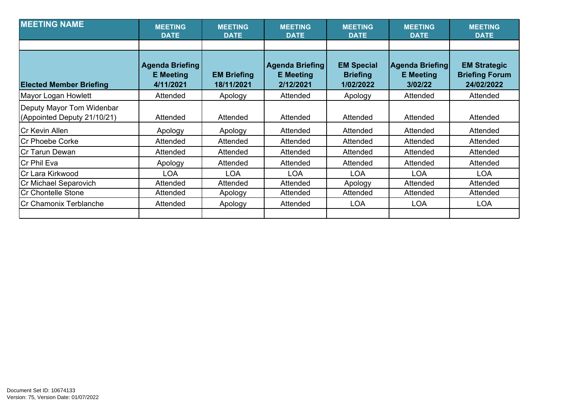| <b>MEETING NAME</b>                                      | <b>MEETING</b><br><b>DATE</b>                           | <b>MEETING</b><br><b>DATE</b>    | <b>MEETING</b><br><b>DATE</b>                           | <b>MEETING</b><br><b>DATE</b>                     | <b>MEETING</b><br><b>DATE</b>                         | <b>MEETING</b><br><b>DATE</b>                              |
|----------------------------------------------------------|---------------------------------------------------------|----------------------------------|---------------------------------------------------------|---------------------------------------------------|-------------------------------------------------------|------------------------------------------------------------|
|                                                          |                                                         |                                  |                                                         |                                                   |                                                       |                                                            |
| <b>Elected Member Briefing</b>                           | <b>Agenda Briefing</b><br><b>E</b> Meeting<br>4/11/2021 | <b>EM Briefing</b><br>18/11/2021 | <b>Agenda Briefing</b><br><b>E</b> Meeting<br>2/12/2021 | <b>EM Special</b><br><b>Briefing</b><br>1/02/2022 | <b>Agenda Briefing</b><br><b>E</b> Meeting<br>3/02/22 | <b>EM Strategic</b><br><b>Briefing Forum</b><br>24/02/2022 |
| Mayor Logan Howlett                                      | Attended                                                | Apology                          | Attended                                                | Apology                                           | Attended                                              | Attended                                                   |
| Deputy Mayor Tom Widenbar<br>(Appointed Deputy 21/10/21) | Attended                                                | Attended                         | Attended                                                | Attended                                          | Attended                                              | Attended                                                   |
| ICr Kevin Allen                                          | Apology                                                 | Apology                          | Attended                                                | Attended                                          | Attended                                              | Attended                                                   |
| <b>Cr Phoebe Corke</b>                                   | Attended                                                | Attended                         | Attended                                                | Attended                                          | Attended                                              | Attended                                                   |
| <b>ICr Tarun Dewan</b>                                   | Attended                                                | Attended                         | Attended                                                | Attended                                          | Attended                                              | Attended                                                   |
| Cr Phil Eva                                              | Apology                                                 | Attended                         | Attended                                                | Attended                                          | Attended                                              | Attended                                                   |
| Cr Lara Kirkwood                                         | <b>LOA</b>                                              | <b>LOA</b>                       | <b>LOA</b>                                              | <b>LOA</b>                                        | <b>LOA</b>                                            | <b>LOA</b>                                                 |
| Cr Michael Separovich                                    | Attended                                                | Attended                         | Attended                                                | Apology                                           | Attended                                              | Attended                                                   |
| Cr Chontelle Stone                                       | Attended                                                | Apology                          | Attended                                                | Attended                                          | Attended                                              | Attended                                                   |
| Cr Chamonix Terblanche                                   | Attended                                                | Apology                          | Attended                                                | <b>LOA</b>                                        | <b>LOA</b>                                            | <b>LOA</b>                                                 |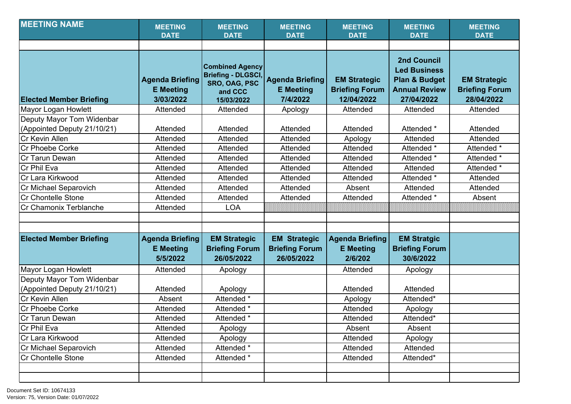| <b>MEETING NAME</b>                                                        | <b>MEETING</b><br><b>DATE</b>                           | <b>MEETING</b><br><b>DATE</b>                                                                 | <b>MEETING</b><br><b>DATE</b>                              | <b>MEETING</b><br><b>DATE</b>                              | <b>MEETING</b><br><b>DATE</b>                                                                               | <b>MEETING</b><br><b>DATE</b>                              |
|----------------------------------------------------------------------------|---------------------------------------------------------|-----------------------------------------------------------------------------------------------|------------------------------------------------------------|------------------------------------------------------------|-------------------------------------------------------------------------------------------------------------|------------------------------------------------------------|
|                                                                            |                                                         |                                                                                               |                                                            |                                                            |                                                                                                             |                                                            |
| <b>Elected Member Briefing</b>                                             | <b>Agenda Briefing</b><br><b>E</b> Meeting<br>3/03/2022 | <b>Combined Agency</b><br><b>Briefing - DLGSCI,</b><br>SRO, OAG, PSC<br>and CCC<br>15/03/2022 | <b>Agenda Briefing</b><br><b>E</b> Meeting<br>7/4/2022     | <b>EM Strategic</b><br><b>Briefing Forum</b><br>12/04/2022 | <b>2nd Council</b><br><b>Led Business</b><br><b>Plan &amp; Budget</b><br><b>Annual Review</b><br>27/04/2022 | <b>EM Strategic</b><br><b>Briefing Forum</b><br>28/04/2022 |
| Mayor Logan Howlett                                                        | Attended                                                | Attended                                                                                      | Apology                                                    | Attended                                                   | Attended                                                                                                    | Attended                                                   |
| Deputy Mayor Tom Widenbar<br>(Appointed Deputy 21/10/21)<br>Cr Kevin Allen | Attended<br>Attended                                    | Attended<br>Attended                                                                          | Attended<br>Attended                                       | Attended<br>Apology                                        | Attended *<br>Attended                                                                                      | Attended<br>Attended                                       |
| Cr Phoebe Corke                                                            | Attended                                                | Attended                                                                                      | Attended                                                   | Attended                                                   | Attended *                                                                                                  | Attended *                                                 |
| Cr Tarun Dewan                                                             | Attended                                                | Attended                                                                                      | Attended                                                   | Attended                                                   | Attended *                                                                                                  | Attended *                                                 |
| Cr Phil Eva                                                                | Attended                                                | Attended                                                                                      | Attended                                                   | Attended                                                   | Attended                                                                                                    | Attended *                                                 |
| Cr Lara Kirkwood                                                           | Attended                                                | Attended                                                                                      | Attended                                                   | Attended                                                   | Attended *                                                                                                  | Attended                                                   |
| Cr Michael Separovich                                                      | Attended                                                | Attended                                                                                      | Attended                                                   | Absent                                                     | Attended                                                                                                    | Attended                                                   |
| Cr Chontelle Stone                                                         | Attended                                                | Attended                                                                                      | Attended                                                   | Attended                                                   | Attended *                                                                                                  | Absent                                                     |
| Cr Chamonix Terblanche                                                     | Attended                                                | <b>LOA</b>                                                                                    |                                                            |                                                            |                                                                                                             |                                                            |
| <b>Elected Member Briefing</b>                                             | <b>Agenda Briefing</b><br><b>E</b> Meeting<br>5/5/2022  | <b>EM Strategic</b><br><b>Briefing Forum</b><br>26/05/2022                                    | <b>EM Strategic</b><br><b>Briefing Forum</b><br>26/05/2022 | <b>Agenda Briefing</b><br><b>E</b> Meeting<br>2/6/202      | <b>EM Stratgic</b><br><b>Briefing Forum</b><br>30/6/2022                                                    |                                                            |
| Mayor Logan Howlett                                                        | Attended                                                | Apology                                                                                       |                                                            | Attended                                                   | Apology                                                                                                     |                                                            |
| Deputy Mayor Tom Widenbar<br>(Appointed Deputy 21/10/21)                   | Attended                                                | Apology                                                                                       |                                                            | Attended                                                   | Attended                                                                                                    |                                                            |
| Cr Kevin Allen                                                             | Absent                                                  | Attended *                                                                                    |                                                            | Apology                                                    | Attended*                                                                                                   |                                                            |
| Cr Phoebe Corke                                                            | Attended                                                | Attended *                                                                                    |                                                            | Attended                                                   | Apology                                                                                                     |                                                            |
| Cr Tarun Dewan                                                             | Attended                                                | Attended *                                                                                    |                                                            | Attended                                                   | Attended*                                                                                                   |                                                            |
| Cr Phil Eva                                                                | Attended                                                | Apology                                                                                       |                                                            | Absent                                                     | Absent                                                                                                      |                                                            |
| Cr Lara Kirkwood                                                           | Attended                                                | Apology                                                                                       |                                                            | Attended                                                   | Apology                                                                                                     |                                                            |
| Cr Michael Separovich                                                      | Attended                                                | Attended *                                                                                    |                                                            | Attended                                                   | Attended                                                                                                    |                                                            |
| Cr Chontelle Stone                                                         | Attended                                                | Attended *                                                                                    |                                                            | Attended                                                   | Attended*                                                                                                   |                                                            |
|                                                                            |                                                         |                                                                                               |                                                            |                                                            |                                                                                                             |                                                            |
|                                                                            |                                                         |                                                                                               |                                                            |                                                            |                                                                                                             |                                                            |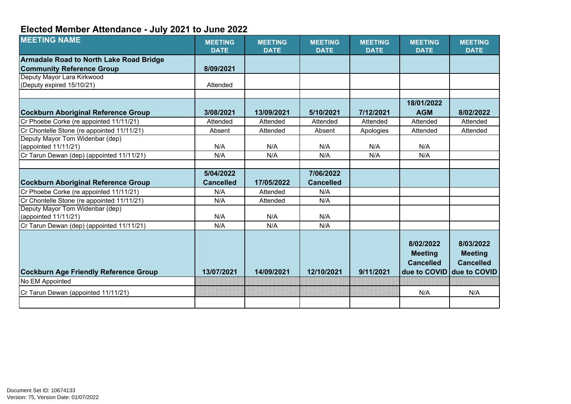## **Elected Member Attendance - July 2021 to June 2022**

| <b>MEETING NAME</b>                            | <b>MEETING</b><br><b>DATE</b> | <b>MEETING</b><br><b>DATE</b> | <b>MEETING</b><br><b>DATE</b> | <b>MEETING</b><br><b>DATE</b> | <b>MEETING</b><br><b>DATE</b>                   | <b>MEETING</b><br><b>DATE</b>                   |
|------------------------------------------------|-------------------------------|-------------------------------|-------------------------------|-------------------------------|-------------------------------------------------|-------------------------------------------------|
| <b>Armadale Road to North Lake Road Bridge</b> |                               |                               |                               |                               |                                                 |                                                 |
| <b>Community Reference Group</b>               | 8/09/2021                     |                               |                               |                               |                                                 |                                                 |
| Deputy Mayor Lara Kirkwood                     |                               |                               |                               |                               |                                                 |                                                 |
| (Deputy expired 15/10/21)                      | Attended                      |                               |                               |                               |                                                 |                                                 |
|                                                |                               |                               |                               |                               |                                                 |                                                 |
|                                                |                               |                               |                               |                               | 18/01/2022                                      |                                                 |
| <b>Cockburn Aboriginal Reference Group</b>     | 3/08/2021                     | 13/09/2021                    | 5/10/2021                     | 7/12/2021                     | <b>AGM</b>                                      | 8/02/2022                                       |
| Cr Phoebe Corke (re appointed 11/11/21)        | Attended                      | Attended                      | Attended                      | Attended                      | Attended                                        | Attended                                        |
| Cr Chontelle Stone (re appointed 11/11/21)     | Absent                        | Attended                      | Absent                        | Apologies                     | Attended                                        | Attended                                        |
| Deputy Mayor Tom Widenbar (dep)                |                               |                               |                               |                               |                                                 |                                                 |
| (appointed 11/11/21)                           | N/A                           | N/A                           | N/A                           | N/A                           | N/A                                             |                                                 |
| Cr Tarun Dewan (dep) (appointed 11/11/21)      | N/A                           | N/A                           | N/A                           | N/A                           | N/A                                             |                                                 |
|                                                |                               |                               |                               |                               |                                                 |                                                 |
|                                                | 5/04/2022                     |                               | 7/06/2022                     |                               |                                                 |                                                 |
| <b>Cockburn Aboriginal Reference Group</b>     | <b>Cancelled</b>              | 17/05/2022                    | <b>Cancelled</b>              |                               |                                                 |                                                 |
| Cr Phoebe Corke (re appointed 11/11/21)        | N/A                           | Attended                      | N/A                           |                               |                                                 |                                                 |
| Cr Chontelle Stone (re appointed 11/11/21)     | N/A                           | Attended                      | N/A                           |                               |                                                 |                                                 |
| Deputy Mayor Tom Widenbar (dep)                |                               |                               |                               |                               |                                                 |                                                 |
| (appointed 11/11/21)                           | N/A                           | N/A                           | N/A                           |                               |                                                 |                                                 |
| Cr Tarun Dewan (dep) (appointed 11/11/21)      | N/A                           | N/A                           | N/A                           |                               |                                                 |                                                 |
|                                                |                               |                               |                               |                               | 8/02/2022<br><b>Meeting</b><br><b>Cancelled</b> | 8/03/2022<br><b>Meeting</b><br><b>Cancelled</b> |
| <b>Cockburn Age Friendly Reference Group</b>   | 13/07/2021                    | 14/09/2021                    | 12/10/2021                    | 9/11/2021                     | due to COVID                                    | due to COVID                                    |
| No EM Appointed                                |                               |                               |                               |                               |                                                 |                                                 |
| Cr Tarun Dewan (appointed 11/11/21)            |                               |                               |                               |                               | N/A                                             | N/A                                             |
|                                                |                               |                               |                               |                               |                                                 |                                                 |
|                                                |                               |                               |                               |                               |                                                 |                                                 |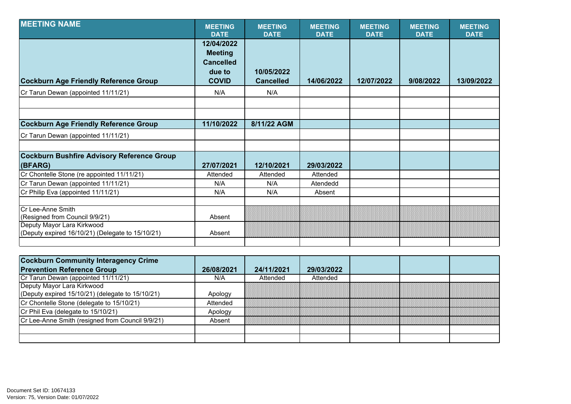| <b>MEETING NAME</b>                                                                                                                   | <b>MEETING</b><br><b>DATE</b>                                              | <b>MEETING</b><br><b>DATE</b>  | <b>MEETING</b><br><b>DATE</b> | <b>MEETING</b><br><b>DATE</b> | <b>MEETING</b><br><b>DATE</b> | <b>MEETING</b><br><b>DATE</b> |
|---------------------------------------------------------------------------------------------------------------------------------------|----------------------------------------------------------------------------|--------------------------------|-------------------------------|-------------------------------|-------------------------------|-------------------------------|
| <b>Cockburn Age Friendly Reference Group</b>                                                                                          | 12/04/2022<br><b>Meeting</b><br><b>Cancelled</b><br>due to<br><b>COVID</b> | 10/05/2022<br><b>Cancelled</b> | 14/06/2022                    | 12/07/2022                    | 9/08/2022                     | 13/09/2022                    |
| Cr Tarun Dewan (appointed 11/11/21)                                                                                                   | N/A                                                                        | N/A                            |                               |                               |                               |                               |
|                                                                                                                                       |                                                                            |                                |                               |                               |                               |                               |
| <b>Cockburn Age Friendly Reference Group</b>                                                                                          | 11/10/2022                                                                 | 8/11/22 AGM                    |                               |                               |                               |                               |
| Cr Tarun Dewan (appointed 11/11/21)                                                                                                   |                                                                            |                                |                               |                               |                               |                               |
|                                                                                                                                       |                                                                            |                                |                               |                               |                               |                               |
| <b>Cockburn Bushfire Advisory Reference Group</b><br>(BFARG)                                                                          | 27/07/2021                                                                 | 12/10/2021                     | 29/03/2022                    |                               |                               |                               |
| Cr Chontelle Stone (re appointed 11/11/21)                                                                                            | Attended                                                                   | Attended                       | Attended                      |                               |                               |                               |
| Cr Tarun Dewan (appointed 11/11/21)                                                                                                   | N/A                                                                        | N/A                            | Atendedd                      |                               |                               |                               |
| Cr Philip Eva (appointed 11/11/21)                                                                                                    | N/A                                                                        | N/A                            | Absent                        |                               |                               |                               |
| Cr Lee-Anne Smith<br>(Resigned from Council 9/9/21)<br>Deputy Mayor Lara Kirkwood<br>(Deputy expired 16/10/21) (Delegate to 15/10/21) | Absent<br>Absent                                                           |                                |                               |                               |                               |                               |
|                                                                                                                                       |                                                                            |                                |                               |                               |                               |                               |

| <b>Cockburn Community Interagency Crime</b>            |            |            |            |  |  |
|--------------------------------------------------------|------------|------------|------------|--|--|
| <b>Prevention Reference Group</b>                      | 26/08/2021 | 24/11/2021 | 29/03/2022 |  |  |
| Cr Tarun Dewan (appointed 11/11/21)                    | N/A        | Attended   | Attended   |  |  |
| Deputy Mayor Lara Kirkwood                             |            |            |            |  |  |
| (Deputy expired $15/10/21$ ) (delegate to $15/10/21$ ) | Apology    |            |            |  |  |
| Cr Chontelle Stone (delegate to 15/10/21)              | Attended   |            |            |  |  |
| Cr Phil Eva (delegate to 15/10/21)                     | Apology    |            |            |  |  |
| Cr Lee-Anne Smith (resigned from Council 9/9/21)       | Absent     |            |            |  |  |
|                                                        |            |            |            |  |  |
|                                                        |            |            |            |  |  |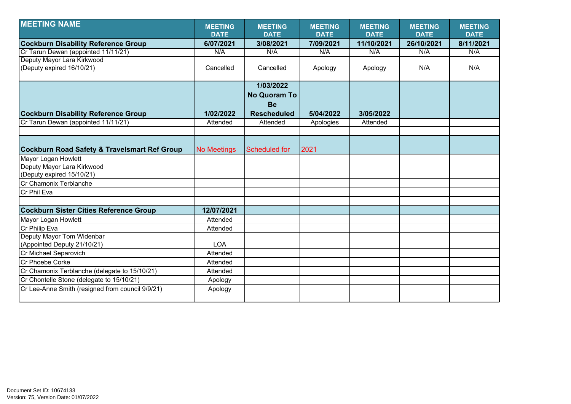| <b>MEETING NAME</b>                                     | <b>MEETING</b>     | <b>MEETING</b>      | <b>MEETING</b> | <b>MEETING</b> | <b>MEETING</b> | <b>MEETING</b> |
|---------------------------------------------------------|--------------------|---------------------|----------------|----------------|----------------|----------------|
|                                                         | <b>DATE</b>        | <b>DATE</b>         | <b>DATE</b>    | <b>DATE</b>    | <b>DATE</b>    | <b>DATE</b>    |
| <b>Cockburn Disability Reference Group</b>              | 6/07/2021          | 3/08/2021           | 7/09/2021      | 11/10/2021     | 26/10/2021     | 8/11/2021      |
| Cr Tarun Dewan (appointed 11/11/21)                     | N/A                | N/A                 | N/A            | N/A            | N/A            | N/A            |
| Deputy Mayor Lara Kirkwood                              |                    |                     |                |                |                |                |
| (Deputy expired 16/10/21)                               | Cancelled          | Cancelled           | Apology        | Apology        | N/A            | N/A            |
|                                                         |                    |                     |                |                |                |                |
|                                                         |                    | 1/03/2022           |                |                |                |                |
|                                                         |                    | <b>No Quoram To</b> |                |                |                |                |
|                                                         |                    | <b>Be</b>           |                |                |                |                |
| <b>Cockburn Disability Reference Group</b>              | 1/02/2022          | <b>Rescheduled</b>  | 5/04/2022      | 3/05/2022      |                |                |
| Cr Tarun Dewan (appointed 11/11/21)                     | Attended           | Attended            | Apologies      | Attended       |                |                |
|                                                         |                    |                     |                |                |                |                |
|                                                         |                    |                     |                |                |                |                |
| <b>Cockburn Road Safety &amp; Travelsmart Ref Group</b> | <b>No Meetings</b> | Scheduled for       | 2021           |                |                |                |
| Mayor Logan Howlett                                     |                    |                     |                |                |                |                |
| Deputy Mayor Lara Kirkwood                              |                    |                     |                |                |                |                |
| (Deputy expired 15/10/21)                               |                    |                     |                |                |                |                |
| <b>ICr Chamonix Terblanche</b>                          |                    |                     |                |                |                |                |
| Cr Phil Eva                                             |                    |                     |                |                |                |                |
|                                                         |                    |                     |                |                |                |                |
| <b>Cockburn Sister Cities Reference Group</b>           | 12/07/2021         |                     |                |                |                |                |
| Mayor Logan Howlett                                     | Attended           |                     |                |                |                |                |
| Cr Philip Eva                                           | Attended           |                     |                |                |                |                |
| Deputy Mayor Tom Widenbar                               |                    |                     |                |                |                |                |
| (Appointed Deputy 21/10/21)                             | <b>LOA</b>         |                     |                |                |                |                |
| Cr Michael Separovich                                   | Attended           |                     |                |                |                |                |
| <b>ICr Phoebe Corke</b>                                 | Attended           |                     |                |                |                |                |
| Cr Chamonix Terblanche (delegate to 15/10/21)           | Attended           |                     |                |                |                |                |
| Cr Chontelle Stone (delegate to 15/10/21)               | Apology            |                     |                |                |                |                |
| Cr Lee-Anne Smith (resigned from council 9/9/21)        | Apology            |                     |                |                |                |                |
|                                                         |                    |                     |                |                |                |                |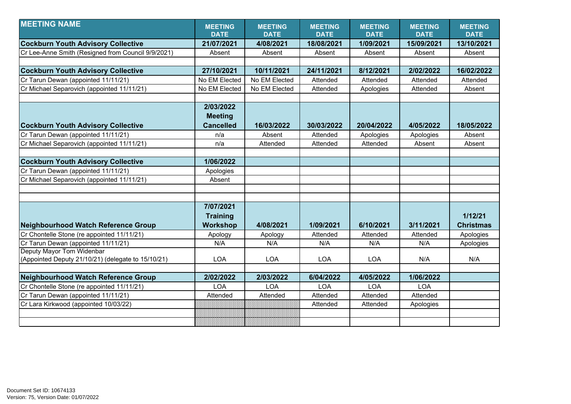| <b>MEETING NAME</b>                                | <b>MEETING</b>   | <b>MEETING</b> | <b>MEETING</b> | <b>MEETING</b> | <b>MEETING</b> | <b>MEETING</b>   |
|----------------------------------------------------|------------------|----------------|----------------|----------------|----------------|------------------|
|                                                    | <b>DATE</b>      | <b>DATE</b>    | <b>DATE</b>    | <b>DATE</b>    | <b>DATE</b>    | <b>DATE</b>      |
| <b>Cockburn Youth Advisory Collective</b>          | 21/07/2021       | 4/08/2021      | 18/08/2021     | 1/09/2021      | 15/09/2021     | 13/10/2021       |
| Cr Lee-Anne Smith (Resigned from Council 9/9/2021) | Absent           | Absent         | Absent         | Absent         | Absent         | Absent           |
|                                                    |                  |                |                |                |                |                  |
| <b>Cockburn Youth Advisory Collective</b>          | 27/10/2021       | 10/11/2021     | 24/11/2021     | 8/12/2021      | 2/02/2022      | 16/02/2022       |
| Cr Tarun Dewan (appointed 11/11/21)                | No EM Elected    | No EM Elected  | Attended       | Attended       | Attended       | Attended         |
| Cr Michael Separovich (appointed 11/11/21)         | No EM Elected    | No EM Elected  | Attended       | Apologies      | Attended       | Absent           |
|                                                    |                  |                |                |                |                |                  |
|                                                    | 2/03/2022        |                |                |                |                |                  |
|                                                    | <b>Meeting</b>   |                |                |                |                |                  |
| <b>Cockburn Youth Advisory Collective</b>          | <b>Cancelled</b> | 16/03/2022     | 30/03/2022     | 20/04/2022     | 4/05/2022      | 18/05/2022       |
| Cr Tarun Dewan (appointed 11/11/21)                | n/a              | Absent         | Attended       | Apologies      | Apologies      | Absent           |
| Cr Michael Separovich (appointed 11/11/21)         | n/a              | Attended       | Attended       | Attended       | Absent         | Absent           |
|                                                    |                  |                |                |                |                |                  |
| <b>Cockburn Youth Advisory Collective</b>          | 1/06/2022        |                |                |                |                |                  |
| Cr Tarun Dewan (appointed 11/11/21)                | Apologies        |                |                |                |                |                  |
| Cr Michael Separovich (appointed 11/11/21)         | Absent           |                |                |                |                |                  |
|                                                    |                  |                |                |                |                |                  |
|                                                    |                  |                |                |                |                |                  |
|                                                    | 7/07/2021        |                |                |                |                |                  |
|                                                    | <b>Training</b>  |                |                |                |                | 1/12/21          |
| <b>Neighbourhood Watch Reference Group</b>         | <b>Workshop</b>  | 4/08/2021      | 1/09/2021      | 6/10/2021      | 3/11/2021      | <b>Christmas</b> |
| Cr Chontelle Stone (re appointed 11/11/21)         | Apology          | Apology        | Attended       | Attended       | Attended       | Apologies        |
| Cr Tarun Dewan (appointed 11/11/21)                | N/A              | N/A            | N/A            | N/A            | N/A            | Apologies        |
| Deputy Mayor Tom Widenbar                          |                  |                |                |                |                |                  |
| (Appointed Deputy 21/10/21) (delegate to 15/10/21) | <b>LOA</b>       | <b>LOA</b>     | <b>LOA</b>     | <b>LOA</b>     | N/A            | N/A              |
|                                                    |                  |                |                |                |                |                  |
| Neighbourhood Watch Reference Group                | 2/02/2022        | 2/03/2022      | 6/04/2022      | 4/05/2022      | 1/06/2022      |                  |
| Cr Chontelle Stone (re appointed 11/11/21)         | LOA              | <b>LOA</b>     | <b>LOA</b>     | <b>LOA</b>     | <b>LOA</b>     |                  |
| Cr Tarun Dewan (appointed 11/11/21)                | Attended         | Attended       | Attended       | Attended       | Attended       |                  |
| Cr Lara Kirkwood (appointed 10/03/22)              |                  |                | Attended       | Attended       | Apologies      |                  |
|                                                    |                  |                |                |                |                |                  |
|                                                    |                  |                |                |                |                |                  |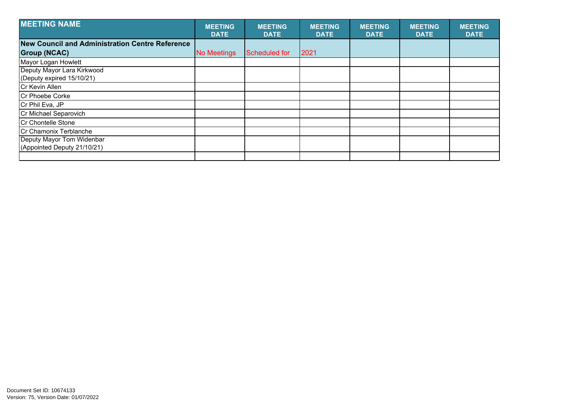| <b>MEETING NAME</b>                                      | <b>MEETING</b><br><b>DATE</b> | <b>MEETING</b><br><b>DATE</b> | <b>MEETING</b><br><b>DATE</b> | <b>MEETING</b><br><b>DATE</b> | <b>MEETING</b><br><b>DATE</b> | <b>MEETING</b><br><b>DATE</b> |
|----------------------------------------------------------|-------------------------------|-------------------------------|-------------------------------|-------------------------------|-------------------------------|-------------------------------|
| <b>New Council and Administration Centre Reference</b>   |                               |                               |                               |                               |                               |                               |
| <b>Group (NCAC)</b>                                      | No Meetings                   | Scheduled for                 | 2021                          |                               |                               |                               |
| Mayor Logan Howlett                                      |                               |                               |                               |                               |                               |                               |
| Deputy Mayor Lara Kirkwood<br>(Deputy expired 15/10/21)  |                               |                               |                               |                               |                               |                               |
| Cr Kevin Allen                                           |                               |                               |                               |                               |                               |                               |
| <b>Cr Phoebe Corke</b>                                   |                               |                               |                               |                               |                               |                               |
| Cr Phil Eva, JP                                          |                               |                               |                               |                               |                               |                               |
| Cr Michael Separovich                                    |                               |                               |                               |                               |                               |                               |
| Cr Chontelle Stone                                       |                               |                               |                               |                               |                               |                               |
| Cr Chamonix Terblanche                                   |                               |                               |                               |                               |                               |                               |
| Deputy Mayor Tom Widenbar<br>(Appointed Deputy 21/10/21) |                               |                               |                               |                               |                               |                               |
|                                                          |                               |                               |                               |                               |                               |                               |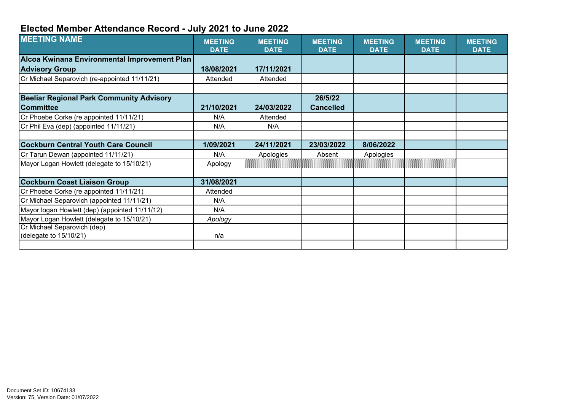## **Elected Member Attendance Record - July 2021 to June 2022**

| <b>MEETING NAME</b>                             | <b>MEETING</b><br><b>DATE</b> | <b>MEETING</b><br><b>DATE</b> | <b>MEETING</b><br><b>DATE</b> | <b>MEETING</b><br><b>DATE</b> | <b>MEETING</b><br><b>DATE</b> | <b>MEETING</b><br><b>DATE</b> |
|-------------------------------------------------|-------------------------------|-------------------------------|-------------------------------|-------------------------------|-------------------------------|-------------------------------|
| Alcoa Kwinana Environmental Improvement Plan    |                               |                               |                               |                               |                               |                               |
| <b>Advisory Group</b>                           | 18/08/2021                    | 17/11/2021                    |                               |                               |                               |                               |
| Cr Michael Separovich (re-appointed 11/11/21)   | Attended                      | Attended                      |                               |                               |                               |                               |
|                                                 |                               |                               |                               |                               |                               |                               |
| <b>Beeliar Regional Park Community Advisory</b> |                               |                               | 26/5/22                       |                               |                               |                               |
| <b>Committee</b>                                | 21/10/2021                    | 24/03/2022                    | <b>Cancelled</b>              |                               |                               |                               |
| Cr Phoebe Corke (re appointed 11/11/21)         | N/A                           | Attended                      |                               |                               |                               |                               |
| Cr Phil Eva (dep) (appointed 11/11/21)          | N/A                           | N/A                           |                               |                               |                               |                               |
|                                                 |                               |                               |                               |                               |                               |                               |
| Cockburn Central Youth Care Council             | 1/09/2021                     | 24/11/2021                    | 23/03/2022                    | 8/06/2022                     |                               |                               |
| Cr Tarun Dewan (appointed 11/11/21)             | N/A                           | Apologies                     | Absent                        | Apologies                     |                               |                               |
| Mayor Logan Howlett (delegate to 15/10/21)      | Apology                       |                               |                               |                               |                               |                               |
|                                                 |                               |                               |                               |                               |                               |                               |
| <b>Cockburn Coast Liaison Group</b>             | 31/08/2021                    |                               |                               |                               |                               |                               |
| Cr Phoebe Corke (re appointed 11/11/21)         | Attended                      |                               |                               |                               |                               |                               |
| Cr Michael Separovich (appointed 11/11/21)      | N/A                           |                               |                               |                               |                               |                               |
| Mayor logan Howlett (dep) (appointed 11/11/12)  | N/A                           |                               |                               |                               |                               |                               |
| Mayor Logan Howlett (delegate to 15/10/21)      | Apology                       |                               |                               |                               |                               |                               |
| Cr Michael Separovich (dep)                     |                               |                               |                               |                               |                               |                               |
| (delegate to 15/10/21)                          | n/a                           |                               |                               |                               |                               |                               |
|                                                 |                               |                               |                               |                               |                               |                               |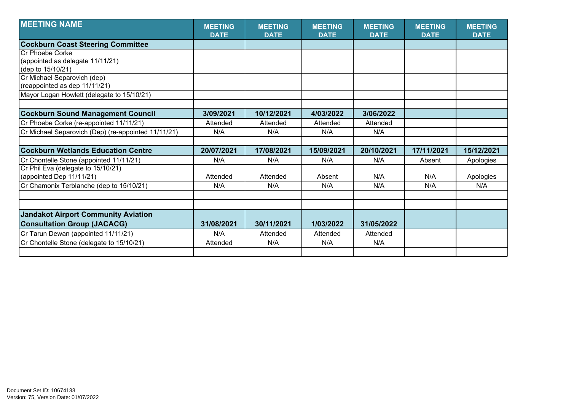| <b>MEETING NAME</b>                                 | <b>MEETING</b><br><b>DATE</b> | <b>MEETING</b><br><b>DATE</b> | <b>MEETING</b><br><b>DATE</b> | <b>MEETING</b><br><b>DATE</b> | <b>MEETING</b><br><b>DATE</b> | <b>MEETING</b><br><b>DATE</b> |
|-----------------------------------------------------|-------------------------------|-------------------------------|-------------------------------|-------------------------------|-------------------------------|-------------------------------|
| <b>Cockburn Coast Steering Committee</b>            |                               |                               |                               |                               |                               |                               |
| Cr Phoebe Corke                                     |                               |                               |                               |                               |                               |                               |
| (appointed as delegate 11/11/21)                    |                               |                               |                               |                               |                               |                               |
| (dep to 15/10/21)                                   |                               |                               |                               |                               |                               |                               |
| Cr Michael Separovich (dep)                         |                               |                               |                               |                               |                               |                               |
| (reappointed as dep 11/11/21)                       |                               |                               |                               |                               |                               |                               |
| Mayor Logan Howlett (delegate to 15/10/21)          |                               |                               |                               |                               |                               |                               |
|                                                     |                               |                               |                               |                               |                               |                               |
| <b>Cockburn Sound Management Council</b>            | 3/09/2021                     | 10/12/2021                    | 4/03/2022                     | 3/06/2022                     |                               |                               |
| Cr Phoebe Corke (re-appointed 11/11/21)             | Attended                      | Attended                      | Attended                      | Attended                      |                               |                               |
| Cr Michael Separovich (Dep) (re-appointed 11/11/21) | N/A                           | N/A                           | N/A                           | N/A                           |                               |                               |
|                                                     |                               |                               |                               |                               |                               |                               |
| <b>Cockburn Wetlands Education Centre</b>           | 20/07/2021                    | 17/08/2021                    | 15/09/2021                    | 20/10/2021                    | 17/11/2021                    | 15/12/2021                    |
| Cr Chontelle Stone (appointed 11/11/21)             | N/A                           | N/A                           | N/A                           | N/A                           | Absent                        | Apologies                     |
| Cr Phil Eva (delegate to 15/10/21)                  |                               |                               |                               |                               |                               |                               |
| (appointed Dep 11/11/21)                            | Attended                      | Attended                      | Absent                        | N/A                           | N/A                           | Apologies                     |
| Cr Chamonix Terblanche (dep to 15/10/21)            | N/A                           | N/A                           | N/A                           | N/A                           | N/A                           | N/A                           |
|                                                     |                               |                               |                               |                               |                               |                               |
|                                                     |                               |                               |                               |                               |                               |                               |
| <b>Jandakot Airport Community Aviation</b>          |                               |                               |                               |                               |                               |                               |
| <b>Consultation Group (JACACG)</b>                  | 31/08/2021                    | 30/11/2021                    | 1/03/2022                     | 31/05/2022                    |                               |                               |
| Cr Tarun Dewan (appointed 11/11/21)                 | N/A                           | Attended                      | Attended                      | Attended                      |                               |                               |
| Cr Chontelle Stone (delegate to 15/10/21)           | Attended                      | N/A                           | N/A                           | N/A                           |                               |                               |
|                                                     |                               |                               |                               |                               |                               |                               |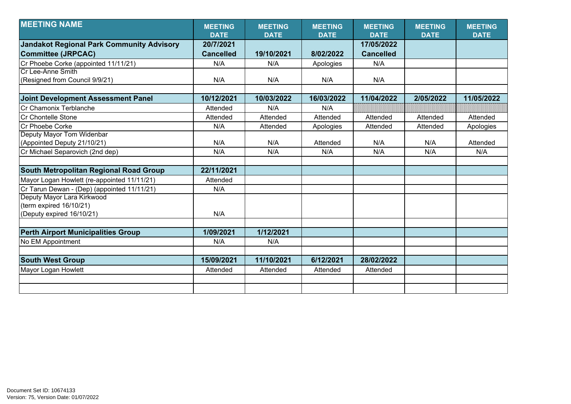| <b>MEETING NAME</b>                              | <b>MEETING</b>   | <b>MEETING</b> | <b>MEETING</b> | <b>MEETING</b>   | <b>MEETING</b> | <b>MEETING</b> |
|--------------------------------------------------|------------------|----------------|----------------|------------------|----------------|----------------|
|                                                  | <b>DATE</b>      | <b>DATE</b>    | <b>DATE</b>    | <b>DATE</b>      | <b>DATE</b>    | <b>DATE</b>    |
| <b>Jandakot Regional Park Community Advisory</b> | 20/7/2021        |                |                | 17/05/2022       |                |                |
| <b>Committee (JRPCAC)</b>                        | <b>Cancelled</b> | 19/10/2021     | 8/02/2022      | <b>Cancelled</b> |                |                |
| Cr Phoebe Corke (appointed 11/11/21)             | N/A              | N/A            | Apologies      | N/A              |                |                |
| Cr Lee-Anne Smith                                |                  |                |                |                  |                |                |
| (Resigned from Council 9/9/21)                   | N/A              | N/A            | N/A            | N/A              |                |                |
|                                                  |                  |                |                |                  |                |                |
| <b>Joint Development Assessment Panel</b>        | 10/12/2021       | 10/03/2022     | 16/03/2022     | 11/04/2022       | 2/05/2022      | 11/05/2022     |
| Cr Chamonix Terblanche                           | Attended         | N/A            | N/A            |                  |                |                |
| Cr Chontelle Stone                               | Attended         | Attended       | Attended       | Attended         | Attended       | Attended       |
| Cr Phoebe Corke                                  | N/A              | Attended       | Apologies      | Attended         | Attended       | Apologies      |
| Deputy Mayor Tom Widenbar                        |                  |                |                |                  |                |                |
| (Appointed Deputy 21/10/21)                      | N/A              | N/A            | Attended       | N/A              | N/A            | Attended       |
| Cr Michael Separovich (2nd dep)                  | N/A              | N/A            | N/A            | N/A              | N/A            | N/A            |
|                                                  |                  |                |                |                  |                |                |
| <b>South Metropolitan Regional Road Group</b>    | 22/11/2021       |                |                |                  |                |                |
| Mayor Logan Howlett (re-appointed 11/11/21)      | Attended         |                |                |                  |                |                |
| Cr Tarun Dewan - (Dep) (appointed 11/11/21)      | N/A              |                |                |                  |                |                |
| Deputy Mayor Lara Kirkwood                       |                  |                |                |                  |                |                |
| (term expired 16/10/21)                          |                  |                |                |                  |                |                |
| (Deputy expired 16/10/21)                        | N/A              |                |                |                  |                |                |
|                                                  |                  |                |                |                  |                |                |
| <b>Perth Airport Municipalities Group</b>        | 1/09/2021        | 1/12/2021      |                |                  |                |                |
| No EM Appointment                                | N/A              | N/A            |                |                  |                |                |
|                                                  |                  |                |                |                  |                |                |
| <b>South West Group</b>                          | 15/09/2021       | 11/10/2021     | 6/12/2021      | 28/02/2022       |                |                |
| <b>Mayor Logan Howlett</b>                       | Attended         | Attended       | Attended       | Attended         |                |                |
|                                                  |                  |                |                |                  |                |                |
|                                                  |                  |                |                |                  |                |                |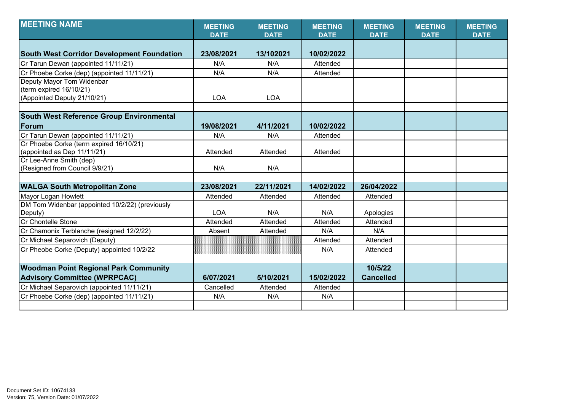| <b>MEETING NAME</b>                               | <b>MEETING</b><br><b>DATE</b> | <b>MEETING</b><br><b>DATE</b> | <b>MEETING</b><br><b>DATE</b> | <b>MEETING</b><br><b>DATE</b> | <b>MEETING</b><br><b>DATE</b> | <b>MEETING</b><br><b>DATE</b> |
|---------------------------------------------------|-------------------------------|-------------------------------|-------------------------------|-------------------------------|-------------------------------|-------------------------------|
|                                                   |                               |                               |                               |                               |                               |                               |
| <b>South West Corridor Development Foundation</b> | 23/08/2021                    | 13/102021                     | 10/02/2022                    |                               |                               |                               |
| Cr Tarun Dewan (appointed 11/11/21)               | N/A                           | N/A                           | Attended                      |                               |                               |                               |
| Cr Phoebe Corke (dep) (appointed 11/11/21)        | N/A                           | N/A                           | Attended                      |                               |                               |                               |
| Deputy Mayor Tom Widenbar                         |                               |                               |                               |                               |                               |                               |
| (term expired 16/10/21)                           |                               |                               |                               |                               |                               |                               |
| (Appointed Deputy 21/10/21)                       | <b>LOA</b>                    | <b>LOA</b>                    |                               |                               |                               |                               |
|                                                   |                               |                               |                               |                               |                               |                               |
| <b>South West Reference Group Environmental</b>   |                               |                               |                               |                               |                               |                               |
| Forum                                             | 19/08/2021                    | 4/11/2021                     | 10/02/2022                    |                               |                               |                               |
| Cr Tarun Dewan (appointed 11/11/21)               | N/A                           | N/A                           | Attended                      |                               |                               |                               |
| Cr Phoebe Corke (term expired 16/10/21)           |                               |                               |                               |                               |                               |                               |
| (appointed as Dep 11/11/21)                       | Attended                      | Attended                      | Attended                      |                               |                               |                               |
| Cr Lee-Anne Smith (dep)                           |                               |                               |                               |                               |                               |                               |
| (Resigned from Council 9/9/21)                    | N/A                           | N/A                           |                               |                               |                               |                               |
|                                                   |                               |                               |                               |                               |                               |                               |
| <b>WALGA South Metropolitan Zone</b>              | 23/08/2021                    | 22/11/2021                    | 14/02/2022                    | 26/04/2022                    |                               |                               |
| Mayor Logan Howlett                               | Attended                      | Attended                      | Attended                      | Attended                      |                               |                               |
| DM Tom Widenbar (appointed 10/2/22) (previously   |                               |                               |                               |                               |                               |                               |
| Deputy)                                           | <b>LOA</b>                    | N/A                           | N/A                           | Apologies                     |                               |                               |
| <b>Cr Chontelle Stone</b>                         | Attended                      | Attended                      | Attended                      | Attended                      |                               |                               |
| Cr Chamonix Terblanche (resigned 12/2/22)         | Absent                        | Attended                      | N/A                           | N/A                           |                               |                               |
| Cr Michael Separovich (Deputy)                    |                               |                               | Attended                      | Attended                      |                               |                               |
| Cr Pheobe Corke (Deputy) appointed 10/2/22        |                               |                               | N/A                           | Attended                      |                               |                               |
|                                                   |                               |                               |                               |                               |                               |                               |
| <b>Woodman Point Regional Park Community</b>      |                               |                               |                               | 10/5/22                       |                               |                               |
| <b>Advisory Committee (WPRPCAC)</b>               | 6/07/2021                     | 5/10/2021                     | 15/02/2022                    | <b>Cancelled</b>              |                               |                               |
| Cr Michael Separovich (appointed 11/11/21)        | Cancelled                     | Attended                      | Attended                      |                               |                               |                               |
| Cr Phoebe Corke (dep) (appointed 11/11/21)        | N/A                           | N/A                           | N/A                           |                               |                               |                               |
|                                                   |                               |                               |                               |                               |                               |                               |